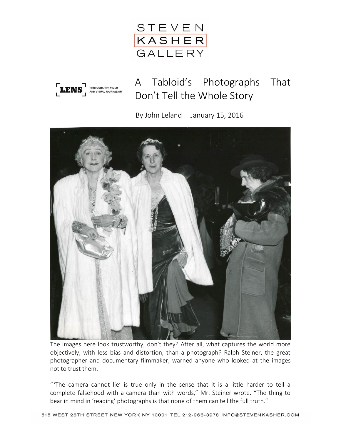



A Tabloid's Photographs That Don't Tell the Whole Story

By John Leland January 15, 2016



The images here look trustworthy, don't they? After all, what captures the world more objectively, with less bias and distortion, than a photograph? Ralph Steiner, the great photographer and documentary filmmaker, warned anyone who looked at the images not to trust them.

" 'The camera cannot lie' is true only in the sense that it is a little harder to tell a complete falsehood with a camera than with words," Mr. Steiner wrote. "The thing to bear in mind in 'reading' photographs is that none of them can tell the full truth."